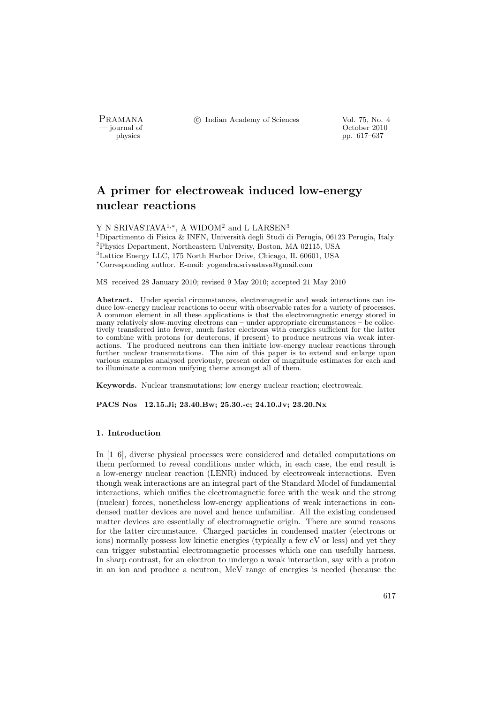PRAMANA <sup>©</sup> Indian Academy of Sciences Vol. 75, No. 4<br>
— journal of Cetaber 2010

position of the contract of the contract of the contract of the contract of the contract of the contract of the contract of the contract of the contract of the contract of the contract of the contract of the contract of th physics pp. 617–637

# A primer for electroweak induced low-energy nuclear reactions

Y N SRIVASTAVA<sup>1,\*</sup>, A WIDOM<sup>2</sup> and L LARSEN<sup>3</sup>

<sup>1</sup>Dipartimento di Fisica & INFN, Università degli Studi di Perugia, 06123 Perugia, Italy <sup>2</sup>Physics Department, Northeastern University, Boston, MA 02115, USA <sup>3</sup>Lattice Energy LLC, 175 North Harbor Drive, Chicago, IL 60601, USA <sup>∗</sup>Corresponding author. E-mail: yogendra.srivastava@gmail.com

MS received 28 January 2010; revised 9 May 2010; accepted 21 May 2010

Abstract. Under special circumstances, electromagnetic and weak interactions can induce low-energy nuclear reactions to occur with observable rates for a variety of processes. A common element in all these applications is that the electromagnetic energy stored in many relatively slow-moving electrons can – under appropriate circumstances – be collectively transferred into fewer, much faster electrons with energies sufficient for the latter to combine with protons (or deuterons, if present) to produce neutrons via weak interactions. The produced neutrons can then initiate low-energy nuclear reactions through further nuclear transmutations. The aim of this paper is to extend and enlarge upon various examples analysed previously, present order of magnitude estimates for each and to illuminate a common unifying theme amongst all of them.

Keywords. Nuclear transmutations; low-energy nuclear reaction; electroweak.

PACS Nos 12.15.Ji; 23.40.Bw; 25.30.-c; 24.10.Jv; 23.20.Nx

### 1. Introduction

In [1–6], diverse physical processes were considered and detailed computations on them performed to reveal conditions under which, in each case, the end result is a low-energy nuclear reaction (LENR) induced by electroweak interactions. Even though weak interactions are an integral part of the Standard Model of fundamental interactions, which unifies the electromagnetic force with the weak and the strong (nuclear) forces, nonetheless low-energy applications of weak interactions in condensed matter devices are novel and hence unfamiliar. All the existing condensed matter devices are essentially of electromagnetic origin. There are sound reasons for the latter circumstance. Charged particles in condensed matter (electrons or ions) normally possess low kinetic energies (typically a few eV or less) and yet they can trigger substantial electromagnetic processes which one can usefully harness. In sharp contrast, for an electron to undergo a weak interaction, say with a proton in an ion and produce a neutron, MeV range of energies is needed (because the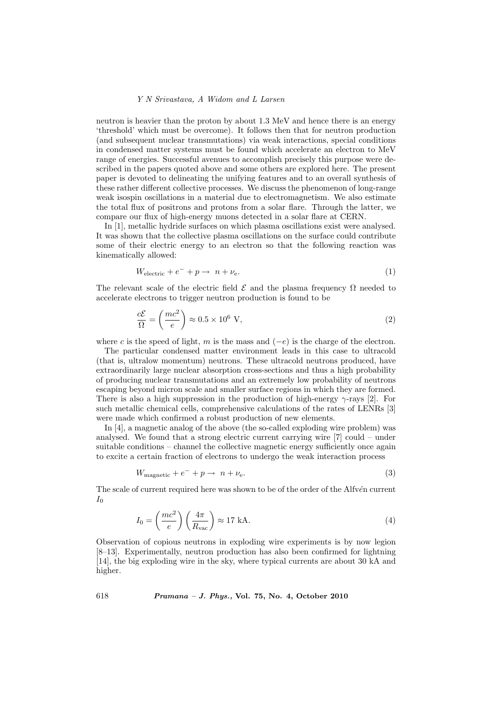neutron is heavier than the proton by about 1.3 MeV and hence there is an energy 'threshold' which must be overcome). It follows then that for neutron production (and subsequent nuclear transmutations) via weak interactions, special conditions in condensed matter systems must be found which accelerate an electron to MeV range of energies. Successful avenues to accomplish precisely this purpose were described in the papers quoted above and some others are explored here. The present paper is devoted to delineating the unifying features and to an overall synthesis of these rather different collective processes. We discuss the phenomenon of long-range weak isospin oscillations in a material due to electromagnetism. We also estimate the total flux of positrons and protons from a solar flare. Through the latter, we compare our flux of high-energy muons detected in a solar flare at CERN.

In [1], metallic hydride surfaces on which plasma oscillations exist were analysed. It was shown that the collective plasma oscillations on the surface could contribute some of their electric energy to an electron so that the following reaction was kinematically allowed:

$$
W_{\text{electric}} + e^- + p \to n + \nu_e. \tag{1}
$$

The relevant scale of the electric field  $\mathcal E$  and the plasma frequency  $\Omega$  needed to accelerate electrons to trigger neutron production is found to be

$$
\frac{c\mathcal{E}}{\Omega} = \left(\frac{mc^2}{e}\right) \approx 0.5 \times 10^6 \text{ V},\tag{2}
$$

where c is the speed of light, m is the mass and  $(-e)$  is the charge of the electron.

The particular condensed matter environment leads in this case to ultracold (that is, ultralow momentum) neutrons. These ultracold neutrons produced, have extraordinarily large nuclear absorption cross-sections and thus a high probability of producing nuclear transmutations and an extremely low probability of neutrons escaping beyond micron scale and smaller surface regions in which they are formed. There is also a high suppression in the production of high-energy  $\gamma$ -rays [2]. For such metallic chemical cells, comprehensive calculations of the rates of LENRs [3] were made which confirmed a robust production of new elements.

In [4], a magnetic analog of the above (the so-called exploding wire problem) was analysed. We found that a strong electric current carrying wire [7] could – under suitable conditions – channel the collective magnetic energy sufficiently once again to excite a certain fraction of electrons to undergo the weak interaction process

$$
W_{\text{magnetic}} + e^- + p \to n + \nu_e. \tag{3}
$$

The scale of current required here was shown to be of the order of the Alfv $\acute{e}$ n current  $I_0$ 

$$
I_0 = \left(\frac{mc^2}{e}\right) \left(\frac{4\pi}{R_{\text{vac}}}\right) \approx 17 \text{ kA}.
$$
 (4)

Observation of copious neutrons in exploding wire experiments is by now legion [8–13]. Experimentally, neutron production has also been confirmed for lightning [14], the big exploding wire in the sky, where typical currents are about 30 kA and higher.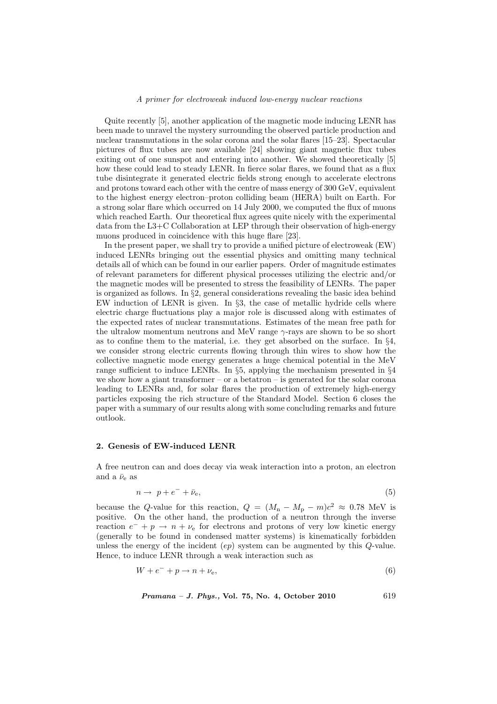Quite recently [5], another application of the magnetic mode inducing LENR has been made to unravel the mystery surrounding the observed particle production and nuclear transmutations in the solar corona and the solar flares [15–23]. Spectacular pictures of flux tubes are now available [24] showing giant magnetic flux tubes exiting out of one sunspot and entering into another. We showed theoretically [5] how these could lead to steady LENR. In fierce solar flares, we found that as a flux tube disintegrate it generated electric fields strong enough to accelerate electrons and protons toward each other with the centre of mass energy of 300 GeV, equivalent to the highest energy electron–proton colliding beam (HERA) built on Earth. For a strong solar flare which occurred on 14 July 2000, we computed the flux of muons which reached Earth. Our theoretical flux agrees quite nicely with the experimental data from the L3+C Collaboration at LEP through their observation of high-energy muons produced in coincidence with this huge flare [23].

In the present paper, we shall try to provide a unified picture of electroweak (EW) induced LENRs bringing out the essential physics and omitting many technical details all of which can be found in our earlier papers. Order of magnitude estimates of relevant parameters for different physical processes utilizing the electric and/or the magnetic modes will be presented to stress the feasibility of LENRs. The paper is organized as follows. In §2, general considerations revealing the basic idea behind EW induction of LENR is given. In §3, the case of metallic hydride cells where electric charge fluctuations play a major role is discussed along with estimates of the expected rates of nuclear transmutations. Estimates of the mean free path for the ultralow momentum neutrons and MeV range  $\gamma$ -rays are shown to be so short as to confine them to the material, i.e. they get absorbed on the surface. In §4, we consider strong electric currents flowing through thin wires to show how the collective magnetic mode energy generates a huge chemical potential in the MeV range sufficient to induce LENRs. In §5, applying the mechanism presented in §4 we show how a giant transformer – or a betatron  $-$  is generated for the solar corona leading to LENRs and, for solar flares the production of extremely high-energy particles exposing the rich structure of the Standard Model. Section 6 closes the paper with a summary of our results along with some concluding remarks and future outlook.

# 2. Genesis of EW-induced LENR

A free neutron can and does decay via weak interaction into a proton, an electron and a  $\bar{\nu}_{\rm e}$  as

$$
n \to p + e^- + \bar{\nu}_e,\tag{5}
$$

because the Q-value for this reaction,  $Q = (M_n - M_p - m)c^2 \approx 0.78$  MeV is positive. On the other hand, the production of a neutron through the inverse reaction  $e^- + p \to n + \nu_e$  for electrons and protons of very low kinetic energy (generally to be found in condensed matter systems) is kinematically forbidden unless the energy of the incident  $(ep)$  system can be augmented by this  $Q$ -value. Hence, to induce LENR through a weak interaction such as

$$
W + e^- + p \to n + \nu_e,\tag{6}
$$

Pramana – J. Phys., Vol. 75, No. 4, October 2010 619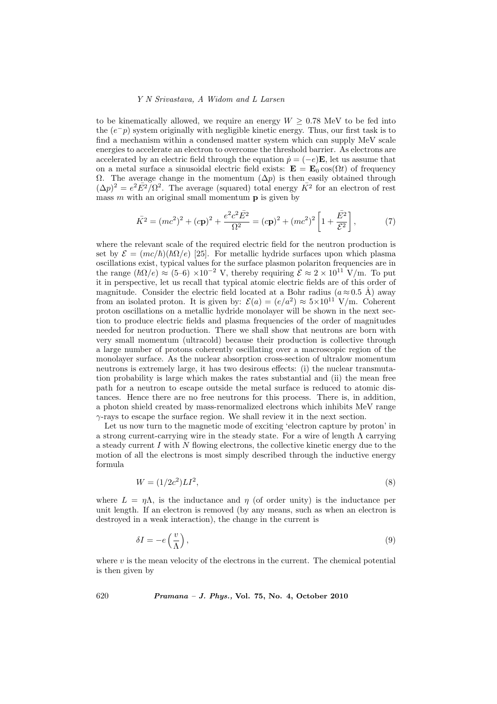to be kinematically allowed, we require an energy  $W \geq 0.78$  MeV to be fed into the  $(e^-p)$  system originally with negligible kinetic energy. Thus, our first task is to find a mechanism within a condensed matter system which can supply MeV scale energies to accelerate an electron to overcome the threshold barrier. As electrons are accelerated by an electric field through the equation  $\dot{p} = (-e)\mathbf{E}$ , let us assume that on a metal surface a sinusoidal electric field exists:  $\mathbf{E} = \mathbf{E}_0 \cos(\Omega t)$  of frequency Ω. The average change in the momentum  $(Δp)$  is then easily obtained through  $(\Delta p)^2 = e^2 \overline{E^2}/\Omega^2$ . The average (squared) total energy  $\overline{K^2}$  for an electron of rest mass  $m$  with an original small momentum  $\bf{p}$  is given by

$$
\bar{K}^2 = (mc^2)^2 + (c\mathbf{p})^2 + \frac{e^2c^2\bar{E}^2}{\Omega^2} = (c\mathbf{p})^2 + (mc^2)^2 \left[1 + \frac{\bar{E}^2}{\mathcal{E}^2}\right],\tag{7}
$$

where the relevant scale of the required electric field for the neutron production is set by  $\mathcal{E} = (mc/\hbar)(\hbar\Omega/e)$  [25]. For metallic hydride surfaces upon which plasma oscillations exist, typical values for the surface plasmon polariton frequencies are in the range  $(\hbar\Omega/e) \approx (5-6) \times 10^{-2}$  V, thereby requiring  $\mathcal{E} \approx 2 \times 10^{11}$  V/m. To put it in perspective, let us recall that typical atomic electric fields are of this order of magnitude. Consider the electric field located at a Bohr radius  $(a \approx 0.5 \text{ Å})$  away from an isolated proton. It is given by:  $\mathcal{E}(a) = (e/a^2) \approx 5 \times 10^{11}$  V/m. Coherent proton oscillations on a metallic hydride monolayer will be shown in the next section to produce electric fields and plasma frequencies of the order of magnitudes needed for neutron production. There we shall show that neutrons are born with very small momentum (ultracold) because their production is collective through a large number of protons coherently oscillating over a macroscopic region of the monolayer surface. As the nuclear absorption cross-section of ultralow momentum neutrons is extremely large, it has two desirous effects: (i) the nuclear transmutation probability is large which makes the rates substantial and (ii) the mean free path for a neutron to escape outside the metal surface is reduced to atomic distances. Hence there are no free neutrons for this process. There is, in addition, a photon shield created by mass-renormalized electrons which inhibits MeV range γ-rays to escape the surface region. We shall review it in the next section.

Let us now turn to the magnetic mode of exciting 'electron capture by proton' in a strong current-carrying wire in the steady state. For a wire of length  $\Lambda$  carrying a steady current  $I$  with  $N$  flowing electrons, the collective kinetic energy due to the motion of all the electrons is most simply described through the inductive energy formula

$$
W = (1/2c^2)LI^2,\t\t(8)
$$

where  $L = \eta \Lambda$ , is the inductance and  $\eta$  (of order unity) is the inductance per unit length. If an electron is removed (by any means, such as when an electron is destroyed in a weak interaction), the change in the current is

$$
\delta I = -e\left(\frac{v}{\Lambda}\right),\tag{9}
$$

where  $v$  is the mean velocity of the electrons in the current. The chemical potential is then given by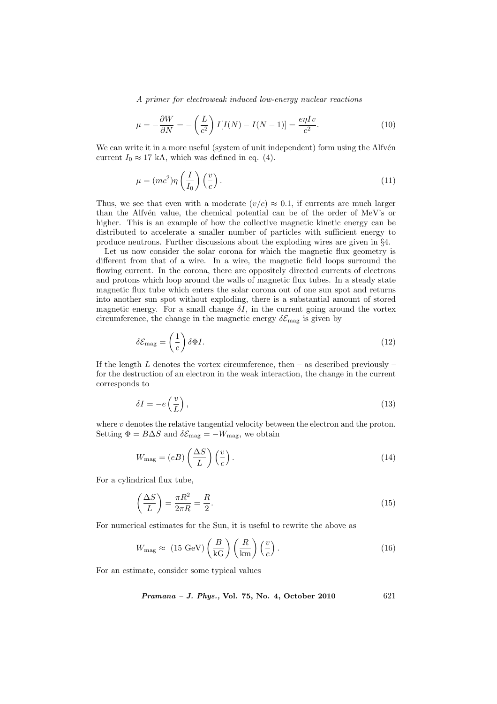$$
\mu = -\frac{\partial W}{\partial N} = -\left(\frac{L}{c^2}\right)I[I(N) - I(N-1)] = \frac{e\eta Iv}{c^2}.
$$
\n(10)

We can write it in a more useful (system of unit independent) form using the Alfvén current  $I_0 \approx 17$  kA, which was defined in eq. (4).

$$
\mu = (mc^2)\eta \left(\frac{I}{I_0}\right) \left(\frac{v}{c}\right). \tag{11}
$$

Thus, we see that even with a moderate  $(v/c) \approx 0.1$ , if currents are much larger than the Alfvén value, the chemical potential can be of the order of MeV's or higher. This is an example of how the collective magnetic kinetic energy can be distributed to accelerate a smaller number of particles with sufficient energy to produce neutrons. Further discussions about the exploding wires are given in §4.

Let us now consider the solar corona for which the magnetic flux geometry is different from that of a wire. In a wire, the magnetic field loops surround the flowing current. In the corona, there are oppositely directed currents of electrons and protons which loop around the walls of magnetic flux tubes. In a steady state magnetic flux tube which enters the solar corona out of one sun spot and returns into another sun spot without exploding, there is a substantial amount of stored magnetic energy. For a small change  $\delta I$ , in the current going around the vortex circumference, the change in the magnetic energy  $\delta \mathcal{E}_{\text{mag}}$  is given by

$$
\delta \mathcal{E}_{\text{mag}} = \left(\frac{1}{c}\right) \delta \Phi I. \tag{12}
$$

If the length  $L$  denotes the vortex circumference, then – as described previously – for the destruction of an electron in the weak interaction, the change in the current corresponds to

$$
\delta I = -e\left(\frac{v}{L}\right),\tag{13}
$$

where  $v$  denotes the relative tangential velocity between the electron and the proton. Setting  $\Phi = B\Delta S$  and  $\delta \mathcal{E}_{\text{mag}} = -W_{\text{mag}}$ , we obtain

$$
W_{\text{mag}} = (eB) \left(\frac{\Delta S}{L}\right) \left(\frac{v}{c}\right). \tag{14}
$$

For a cylindrical flux tube,

$$
\left(\frac{\Delta S}{L}\right) = \frac{\pi R^2}{2\pi R} = \frac{R}{2}.\tag{15}
$$

For numerical estimates for the Sun, it is useful to rewrite the above as

$$
W_{\text{mag}} \approx (15 \text{ GeV}) \left(\frac{B}{\text{kG}}\right) \left(\frac{R}{\text{km}}\right) \left(\frac{v}{c}\right). \tag{16}
$$

For an estimate, consider some typical values

Pramana – J. Phys., Vol. 75, No. 4, October 2010

\n
$$
621
$$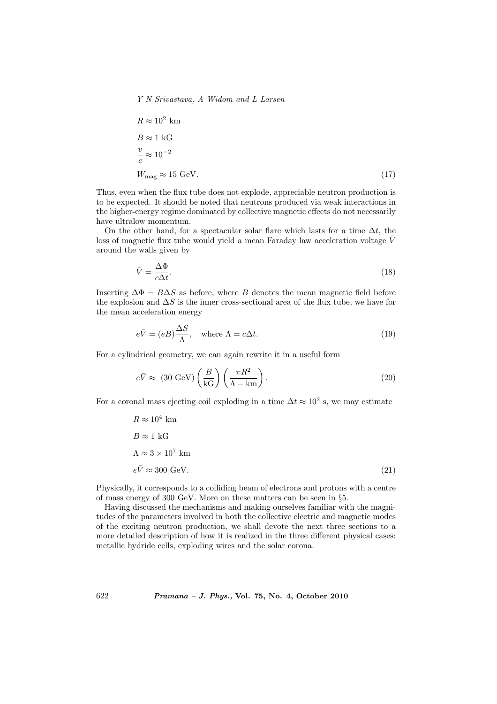$$
R \approx 10^2 \text{ km}
$$
  
\n
$$
B \approx 1 \text{ kG}
$$
  
\n
$$
\frac{v}{c} \approx 10^{-2}
$$
  
\n
$$
W_{\text{mag}} \approx 15 \text{ GeV}.
$$
 (17)

Thus, even when the flux tube does not explode, appreciable neutron production is to be expected. It should be noted that neutrons produced via weak interactions in the higher-energy regime dominated by collective magnetic effects do not necessarily have ultralow momentum.

On the other hand, for a spectacular solar flare which lasts for a time  $\Delta t$ , the loss of magnetic flux tube would yield a mean Faraday law acceleration voltage  $V$ around the walls given by

$$
\bar{V} = \frac{\Delta \Phi}{c \Delta t}.\tag{18}
$$

Inserting  $\Delta \Phi = B \Delta S$  as before, where B denotes the mean magnetic field before the explosion and ∆S is the inner cross-sectional area of the flux tube, we have for the mean acceleration energy

$$
e\bar{V} = (eB)\frac{\Delta S}{\Lambda}, \quad \text{where } \Lambda = c\Delta t.
$$
 (19)

For a cylindrical geometry, we can again rewrite it in a useful form

$$
e\bar{V} \approx (30 \text{ GeV}) \left(\frac{B}{kG}\right) \left(\frac{\pi R^2}{\Lambda - \text{km}}\right). \tag{20}
$$

For a coronal mass ejecting coil exploding in a time  $\Delta t \approx 10^2$  s, we may estimate

$$
R \approx 10^4 \text{ km}
$$
  
\n
$$
B \approx 1 \text{ kG}
$$
  
\n
$$
\Lambda \approx 3 \times 10^7 \text{ km}
$$
  
\n
$$
e\bar{V} \approx 300 \text{ GeV}.
$$
\n(21)

Physically, it corresponds to a colliding beam of electrons and protons with a centre of mass energy of 300 GeV. More on these matters can be seen in §5.

Having discussed the mechanisms and making ourselves familiar with the magnitudes of the parameters involved in both the collective electric and magnetic modes of the exciting neutron production, we shall devote the next three sections to a more detailed description of how it is realized in the three different physical cases: metallic hydride cells, exploding wires and the solar corona.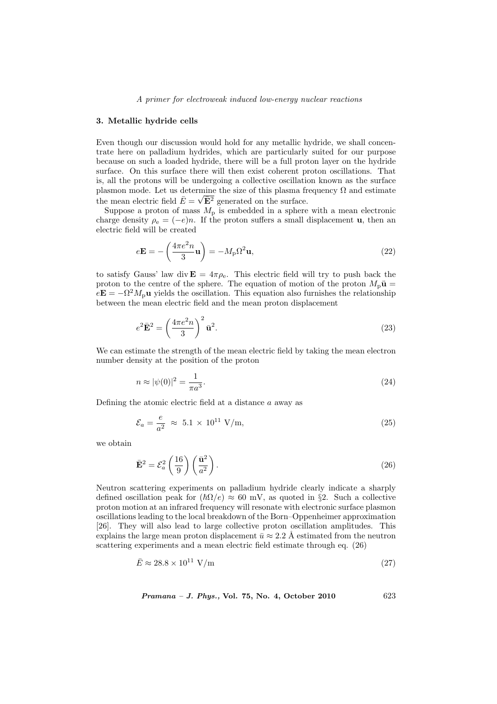## 3. Metallic hydride cells

Even though our discussion would hold for any metallic hydride, we shall concentrate here on palladium hydrides, which are particularly suited for our purpose because on such a loaded hydride, there will be a full proton layer on the hydride surface. On this surface there will then exist coherent proton oscillations. That is, all the protons will be undergoing a collective oscillation known as the surface plasmon mode. Let us determine the size of this plasma frequency  $\Omega$  and estimate the mean electric field  $\bar{E} = \sqrt{\bar{\mathbf{E}}^2}$  generated on the surface.

Suppose a proton of mass  $M_{\rm p}$  is embedded in a sphere with a mean electronic charge density  $\rho_e = (-e)n$ . If the proton suffers a small displacement **u**, then an electric field will be created

$$
e\mathbf{E} = -\left(\frac{4\pi e^2 n}{3}\mathbf{u}\right) = -M_p \Omega^2 \mathbf{u},\tag{22}
$$

to satisfy Gauss' law div  $\mathbf{E} = 4\pi \rho_e$ . This electric field will try to push back the proton to the centre of the sphere. The equation of motion of the proton  $M_p\ddot{\mathbf{u}} =$  $e\mathbf{E} = -\Omega^2 M_p \mathbf{u}$  yields the oscillation. This equation also furnishes the relationship between the mean electric field and the mean proton displacement

$$
e^2\bar{\mathbf{E}}^2 = \left(\frac{4\pi e^2 n}{3}\right)^2 \bar{\mathbf{u}}^2. \tag{23}
$$

We can estimate the strength of the mean electric field by taking the mean electron number density at the position of the proton

$$
n \approx |\psi(0)|^2 = \frac{1}{\pi a^3}.\tag{24}
$$

Defining the atomic electric field at a distance  $a$  away as

$$
\mathcal{E}_a = \frac{e}{a^2} \approx 5.1 \times 10^{11} \text{ V/m},\tag{25}
$$

we obtain

$$
\bar{\mathbf{E}}^2 = \mathcal{E}_a^2 \left( \frac{16}{9} \right) \left( \frac{\bar{\mathbf{u}}^2}{a^2} \right). \tag{26}
$$

Neutron scattering experiments on palladium hydride clearly indicate a sharply defined oscillation peak for  $(\hbar \Omega/e) \approx 60$  mV, as quoted in §2. Such a collective proton motion at an infrared frequency will resonate with electronic surface plasmon oscillations leading to the local breakdown of the Born–Oppenheimer approximation [26]. They will also lead to large collective proton oscillation amplitudes. This explains the large mean proton displacement  $\bar{u} \approx 2.2 \text{ Å}$  estimated from the neutron scattering experiments and a mean electric field estimate through eq. (26)

$$
\bar{E} \approx 28.8 \times 10^{11} \text{ V/m} \tag{27}
$$

Pramana – J. Phys., Vol. 75, No. 4, October 2010

\n
$$
623
$$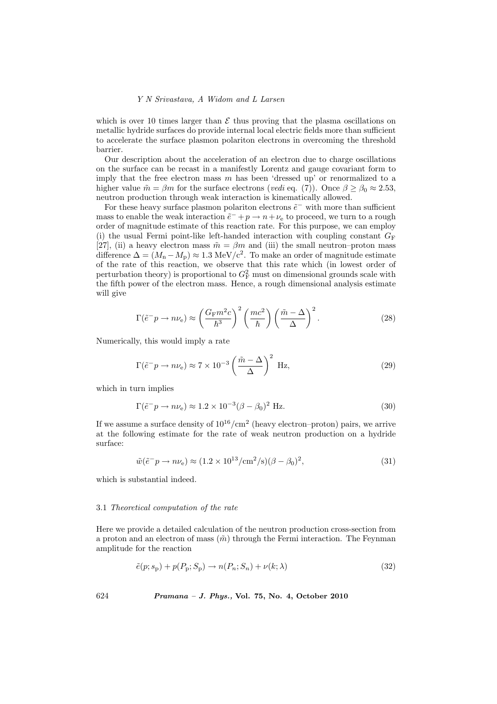which is over 10 times larger than  $\mathcal E$  thus proving that the plasma oscillations on metallic hydride surfaces do provide internal local electric fields more than sufficient to accelerate the surface plasmon polariton electrons in overcoming the threshold barrier.

Our description about the acceleration of an electron due to charge oscillations on the surface can be recast in a manifestly Lorentz and gauge covariant form to imply that the free electron mass  $m$  has been 'dressed up' or renormalized to a higher value  $\tilde{m} = \beta m$  for the surface electrons (vedi eq. (7)). Once  $\beta \ge \beta_0 \approx 2.53$ , neutron production through weak interaction is kinematically allowed.

For these heavy surface plasmon polariton electrons  $\tilde{e}^-$  with more than sufficient mass to enable the weak interaction  $\tilde{e}^- + p \to n + \nu_e$  to proceed, we turn to a rough order of magnitude estimate of this reaction rate. For this purpose, we can employ (i) the usual Fermi point-like left-handed interaction with coupling constant  $G_F$ [27], (ii) a heavy electron mass  $\tilde{m} = \beta m$  and (iii) the small neutron–proton mass difference  $\Delta = (M_{\rm n} - M_{\rm p}) \approx 1.3 \text{ MeV}/c^2$ . To make an order of magnitude estimate of the rate of this reaction, we observe that this rate which (in lowest order of perturbation theory) is proportional to  $G_F^2$  must on dimensional grounds scale with the fifth power of the electron mass. Hence, a rough dimensional analysis estimate will give

$$
\Gamma(\tilde{e}^-p \to n\nu_e) \approx \left(\frac{G_{\rm F}m^2c}{\hbar^3}\right)^2 \left(\frac{mc^2}{\hbar}\right) \left(\frac{\tilde{m}-\Delta}{\Delta}\right)^2.
$$
 (28)

Numerically, this would imply a rate

$$
\Gamma(\tilde{e}^-p \to n\nu_e) \approx 7 \times 10^{-3} \left(\frac{\tilde{m} - \Delta}{\Delta}\right)^2 \text{ Hz},\tag{29}
$$

which in turn implies

$$
\Gamma(\tilde{e}^-p \to n\nu_e) \approx 1.2 \times 10^{-3} (\beta - \beta_0)^2 \text{ Hz.}
$$
\n(30)

If we assume a surface density of  $10^{16}/\text{cm}^2$  (heavy electron–proton) pairs, we arrive at the following estimate for the rate of weak neutron production on a hydride surface:

$$
\tilde{w}(\tilde{e}^-p \to n\nu_e) \approx (1.2 \times 10^{13}/\text{cm}^2/\text{s})(\beta - \beta_0)^2,
$$
\n(31)

which is substantial indeed.

### 3.1 Theoretical computation of the rate

Here we provide a detailed calculation of the neutron production cross-section from a proton and an electron of mass  $(\tilde{m})$  through the Fermi interaction. The Feynman amplitude for the reaction

$$
\tilde{e}(p; s_p) + p(P_p; S_p) \to n(P_n; S_n) + \nu(k; \lambda)
$$
\n(32)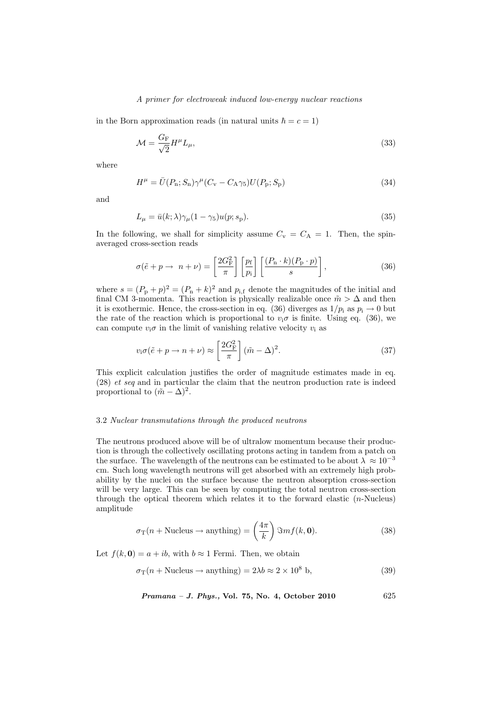in the Born approximation reads (in natural units  $\hbar = c = 1$ )

$$
\mathcal{M} = \frac{G_{\rm F}}{\sqrt{2}} H^{\mu} L_{\mu},\tag{33}
$$

where

$$
H^{\mu} = \bar{U}(P_{\rm n}; S_{\rm n})\gamma^{\mu}(C_{\rm v} - C_{\rm A}\gamma_5)U(P_{\rm p}; S_{\rm p})\tag{34}
$$

and

$$
L_{\mu} = \bar{u}(k; \lambda)\gamma_{\mu}(1-\gamma_{5})u(p; s_{p}).
$$
\n(35)

In the following, we shall for simplicity assume  $C_{\rm v} = C_{\rm A} = 1$ . Then, the spinaveraged cross-section reads

$$
\sigma(\tilde{e} + p \to n + \nu) = \left[\frac{2G_{\rm F}^2}{\pi}\right] \left[\frac{p_{\rm f}}{p_{\rm i}}\right] \left[\frac{(P_{\rm n} \cdot k)(P_{\rm p} \cdot p)}{s}\right],\tag{36}
$$

where  $s = (P_p + p)^2 = (P_n + k)^2$  and  $p_{i,f}$  denote the magnitudes of the initial and final CM 3-momenta. This reaction is physically realizable once  $\tilde{m} > \Delta$  and then it is exothermic. Hence, the cross-section in eq. (36) diverges as  $1/p_i$  as  $p_i \to 0$  but the rate of the reaction which is proportional to  $v_i\sigma$  is finite. Using eq. (36), we can compute  $v_i \sigma$  in the limit of vanishing relative velocity  $v_i$  as

$$
v_{\rm i}\sigma(\tilde{e} + p \to n + \nu) \approx \left[\frac{2G_{\rm F}^2}{\pi}\right](\tilde{m} - \Delta)^2.
$$
 (37)

This explicit calculation justifies the order of magnitude estimates made in eq. (28) et seq and in particular the claim that the neutron production rate is indeed proportional to  $({\tilde m} - \Delta)^2$ .

#### 3.2 Nuclear transmutations through the produced neutrons

The neutrons produced above will be of ultralow momentum because their production is through the collectively oscillating protons acting in tandem from a patch on the surface. The wavelength of the neutrons can be estimated to be about  $\lambda \approx 10^{-3}$ cm. Such long wavelength neutrons will get absorbed with an extremely high probability by the nuclei on the surface because the neutron absorption cross-section will be very large. This can be seen by computing the total neutron cross-section through the optical theorem which relates it to the forward elastic  $(n$ -Nucleus) amplitude

$$
\sigma_{\rm T}(n + \text{Nucleus} \to \text{anything}) = \left(\frac{4\pi}{k}\right) \Im m f(k, \mathbf{0}).\tag{38}
$$

Let  $f(k, 0) = a + ib$ , with  $b \approx 1$  Fermi. Then, we obtain

$$
\sigma_{\rm T}(n + \text{Nucleus} \to \text{anything}) = 2\lambda b \approx 2 \times 10^8 \text{ b},\tag{39}
$$

Pramana – J. Phys., Vol. 75, No. 4, October 2010

\n
$$
625
$$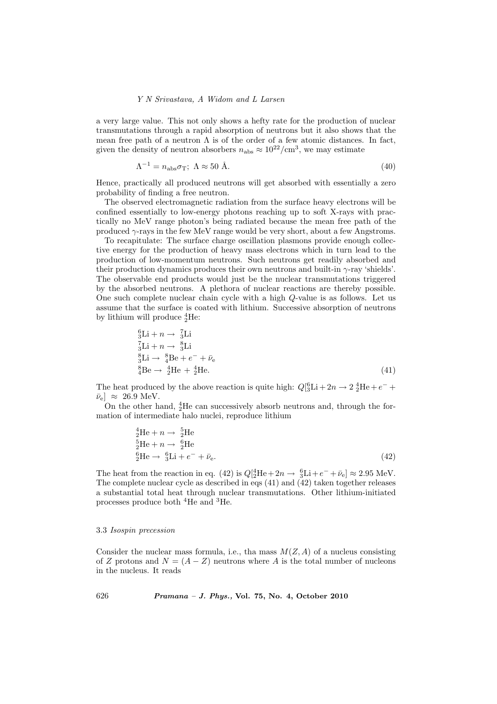a very large value. This not only shows a hefty rate for the production of nuclear transmutations through a rapid absorption of neutrons but it also shows that the mean free path of a neutron  $\Lambda$  is of the order of a few atomic distances. In fact, given the density of neutron absorbers  $n_{\text{abs}} \approx 10^{22}/\text{cm}^3$ , we may estimate

$$
\Lambda^{-1} = n_{\text{abs}} \sigma_{\text{T}}; \ \Lambda \approx 50 \text{ \AA}. \tag{40}
$$

Hence, practically all produced neutrons will get absorbed with essentially a zero probability of finding a free neutron.

The observed electromagnetic radiation from the surface heavy electrons will be confined essentially to low-energy photons reaching up to soft X-rays with practically no MeV range photon's being radiated because the mean free path of the produced γ-rays in the few MeV range would be very short, about a few Angstroms.

To recapitulate: The surface charge oscillation plasmons provide enough collective energy for the production of heavy mass electrons which in turn lead to the production of low-momentum neutrons. Such neutrons get readily absorbed and their production dynamics produces their own neutrons and built-in  $\gamma$ -ray 'shields'. The observable end products would just be the nuclear transmutations triggered by the absorbed neutrons. A plethora of nuclear reactions are thereby possible. One such complete nuclear chain cycle with a high Q-value is as follows. Let us assume that the surface is coated with lithium. Successive absorption of neutrons by lithium will produce  ${}^{4}_{2}\text{He}$ :

$$
{}_{3}^{6}\text{Li} + n \rightarrow {}_{3}^{7}\text{Li}
$$
  
\n
$$
{}_{3}^{7}\text{Li} + n \rightarrow {}_{3}^{8}\text{Li}
$$
  
\n
$$
{}_{3}^{8}\text{Li} \rightarrow {}_{4}^{8}\text{Be} + e^{-} + \bar{\nu}_{e}
$$
  
\n
$$
{}_{4}^{8}\text{Be} \rightarrow {}_{2}^{4}\text{He} + {}_{2}^{4}\text{He}. \tag{41}
$$

The heat produced by the above reaction is quite high:  $Q_{3}^{6}Li + 2n \rightarrow 2 \frac{4}{2}He + e^{-} +$  $|\bar{\nu}_{\rm e}| \approx 26.9$  MeV.

On the other hand,  ${}^{4}_{2}$ He can successively absorb neutrons and, through the formation of intermediate halo nuclei, reproduce lithium

<sup>4</sup><sub>2</sub>He + 
$$
n \rightarrow \frac{5}{2}
$$
He  
\n<sup>5</sup><sub>2</sub>He +  $n \rightarrow \frac{6}{2}$ He  
\n<sup>6</sup><sub>2</sub>He  $\rightarrow \frac{6}{3}$ Li +  $e^-$  +  $\bar{\nu}_e$ . (42)

The heat from the reaction in eq. (42) is  $Q_{2}^{4}He + 2n \rightarrow \frac{6}{3}Li + e^{-} + \bar{\nu}_{e} \approx 2.95 \text{ MeV}.$ The complete nuclear cycle as described in eqs (41) and (42) taken together releases a substantial total heat through nuclear transmutations. Other lithium-initiated processes produce both <sup>4</sup>He and <sup>3</sup>He.

#### 3.3 Isospin precession

Consider the nuclear mass formula, i.e., tha mass  $M(Z, A)$  of a nucleus consisting of Z protons and  $N = (A - Z)$  neutrons where A is the total number of nucleons in the nucleus. It reads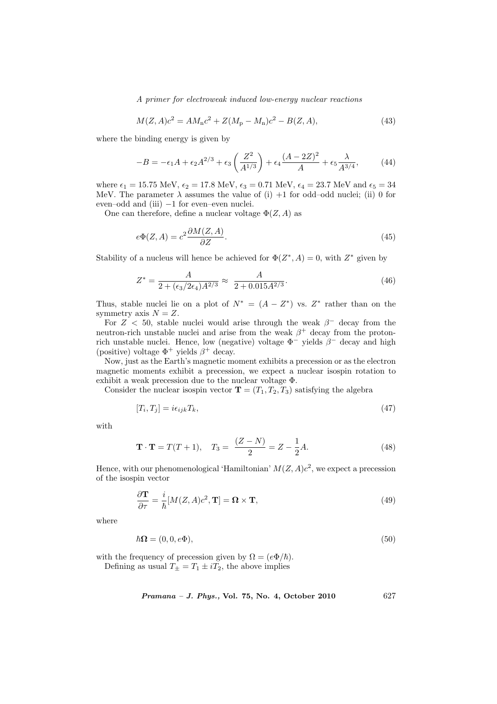$$
M(Z, A)c2 = AMnc2 + Z(Mp - Mn)c2 - B(Z, A),
$$
\n(43)

where the binding energy is given by

$$
-B = -\epsilon_1 A + \epsilon_2 A^{2/3} + \epsilon_3 \left(\frac{Z^2}{A^{1/3}}\right) + \epsilon_4 \frac{(A - 2Z)^2}{A} + \epsilon_5 \frac{\lambda}{A^{3/4}},\tag{44}
$$

where  $\epsilon_1 = 15.75$  MeV,  $\epsilon_2 = 17.8$  MeV,  $\epsilon_3 = 0.71$  MeV,  $\epsilon_4 = 23.7$  MeV and  $\epsilon_5 = 34$ MeV. The parameter  $\lambda$  assumes the value of (i) +1 for odd-odd nuclei; (ii) 0 for even–odd and (iii) −1 for even–even nuclei.

One can therefore, define a nuclear voltage  $\Phi(Z, A)$  as

$$
e\Phi(Z,A) = c^2 \frac{\partial M(Z,A)}{\partial Z}.
$$
\n(45)

Stability of a nucleus will hence be achieved for  $\Phi(Z^*,A) = 0$ , with  $Z^*$  given by

$$
Z^* = \frac{A}{2 + (\epsilon_3/2\epsilon_4)A^{2/3}} \approx \frac{A}{2 + 0.015A^{2/3}}.\tag{46}
$$

Thus, stable nuclei lie on a plot of  $N^* = (A - Z^*)$  vs.  $Z^*$  rather than on the symmetry axis  $N = Z$ .

For  $Z < 50$ , stable nuclei would arise through the weak  $\beta^-$  decay from the neutron-rich unstable nuclei and arise from the weak  $\beta^+$  decay from the protonrich unstable nuclei. Hence, low (negative) voltage  $\Phi^-$  yields  $\beta^-$  decay and high (positive) voltage  $\Phi^+$  yields  $\beta^+$  decay.

Now, just as the Earth's magnetic moment exhibits a precession or as the electron magnetic moments exhibit a precession, we expect a nuclear isospin rotation to exhibit a weak precession due to the nuclear voltage Φ.

Consider the nuclear isospin vector  $\mathbf{T} = (T_1, T_2, T_3)$  satisfying the algebra

$$
[T_i, T_j] = i\epsilon_{ijk}T_k,\tag{47}
$$

with

$$
\mathbf{T} \cdot \mathbf{T} = T(T+1), \quad T_3 = \frac{(Z-N)}{2} = Z - \frac{1}{2}A. \tag{48}
$$

Hence, with our phenomenological 'Hamiltonian'  $M(Z, A)c^2$ , we expect a precession of the isospin vector

$$
\frac{\partial \mathbf{T}}{\partial \tau} = \frac{i}{\hbar} [M(Z, A)c^2, \mathbf{T}] = \mathbf{\Omega} \times \mathbf{T},\tag{49}
$$

where

$$
\hbar \Omega = (0, 0, e\Phi),\tag{50}
$$

with the frequency of precession given by  $\Omega = (e\Phi/\hbar)$ . Defining as usual  $T_{\pm} = T_1 \pm i T_2$ , the above implies

Pramana – J. Phys., Vol. 75, No. 4, October 2010

\n
$$
627
$$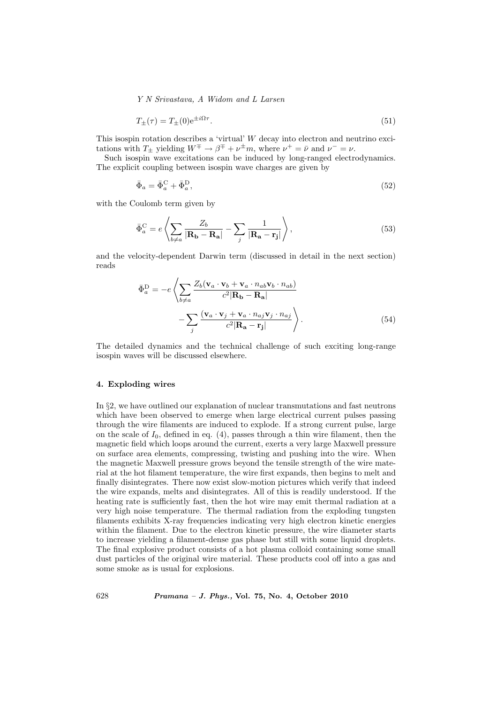$$
T_{\pm}(\tau) = T_{\pm}(0)e^{\pm i\Omega\tau}.\tag{51}
$$

This isospin rotation describes a 'virtual' W decay into electron and neutrino excitations with  $T_{\pm}$  yielding  $W^{\mp} \rightarrow \beta^{\mp} + \nu^{\pm}m$ , where  $\nu^{+} = \bar{\nu}$  and  $\nu^{-} = \nu$ .

Such isospin wave excitations can be induced by long-ranged electrodynamics. The explicit coupling between isospin wave charges are given by

$$
\bar{\Phi}_a = \bar{\Phi}_a^{\mathcal{C}} + \bar{\Phi}_a^{\mathcal{D}},\tag{52}
$$

with the Coulomb term given by

$$
\bar{\Phi}_{a}^{\text{C}} = e \left\langle \sum_{b \neq a} \frac{Z_b}{|\mathbf{R_b} - \mathbf{R_a}|} - \sum_{j} \frac{1}{|\mathbf{R_a} - \mathbf{r_j}|} \right\rangle, \tag{53}
$$

and the velocity-dependent Darwin term (discussed in detail in the next section) reads

$$
\bar{\Phi}_a^{\text{D}} = -e \left\langle \sum_{b \neq a} \frac{Z_b(\mathbf{v}_a \cdot \mathbf{v}_b + \mathbf{v}_a \cdot n_{ab} \mathbf{v}_b \cdot n_{ab})}{c^2 |\mathbf{R_b} - \mathbf{R_a}|} - \sum_j \frac{(\mathbf{v}_a \cdot \mathbf{v}_j + \mathbf{v}_a \cdot n_{aj} \mathbf{v}_j \cdot n_{aj})}{c^2 |\mathbf{R_a} - \mathbf{r}_j|} \right\rangle.
$$
\n(54)

The detailed dynamics and the technical challenge of such exciting long-range isospin waves will be discussed elsewhere.

#### 4. Exploding wires

In §2, we have outlined our explanation of nuclear transmutations and fast neutrons which have been observed to emerge when large electrical current pulses passing through the wire filaments are induced to explode. If a strong current pulse, large on the scale of  $I_0$ , defined in eq. (4), passes through a thin wire filament, then the magnetic field which loops around the current, exerts a very large Maxwell pressure on surface area elements, compressing, twisting and pushing into the wire. When the magnetic Maxwell pressure grows beyond the tensile strength of the wire material at the hot filament temperature, the wire first expands, then begins to melt and finally disintegrates. There now exist slow-motion pictures which verify that indeed the wire expands, melts and disintegrates. All of this is readily understood. If the heating rate is sufficiently fast, then the hot wire may emit thermal radiation at a very high noise temperature. The thermal radiation from the exploding tungsten filaments exhibits X-ray frequencies indicating very high electron kinetic energies within the filament. Due to the electron kinetic pressure, the wire diameter starts to increase yielding a filament-dense gas phase but still with some liquid droplets. The final explosive product consists of a hot plasma colloid containing some small dust particles of the original wire material. These products cool off into a gas and some smoke as is usual for explosions.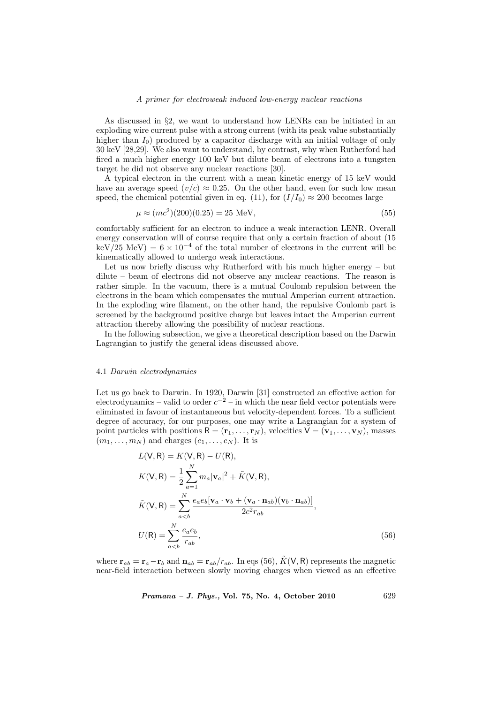As discussed in §2, we want to understand how LENRs can be initiated in an exploding wire current pulse with a strong current (with its peak value substantially higher than  $I_0$ ) produced by a capacitor discharge with an initial voltage of only 30 keV [28,29]. We also want to understand, by contrast, why when Rutherford had fired a much higher energy 100 keV but dilute beam of electrons into a tungsten target he did not observe any nuclear reactions [30].

A typical electron in the current with a mean kinetic energy of 15 keV would have an average speed  $(v/c) \approx 0.25$ . On the other hand, even for such low mean speed, the chemical potential given in eq. (11), for  $(I/I_0) \approx 200$  becomes large

$$
\mu \approx (mc^2)(200)(0.25) = 25 \text{ MeV},\tag{55}
$$

comfortably sufficient for an electron to induce a weak interaction LENR. Overall energy conservation will of course require that only a certain fraction of about (15 keV/25 MeV) =  $6 \times 10^{-4}$  of the total number of electrons in the current will be kinematically allowed to undergo weak interactions.

Let us now briefly discuss why Rutherford with his much higher energy – but dilute – beam of electrons did not observe any nuclear reactions. The reason is rather simple. In the vacuum, there is a mutual Coulomb repulsion between the electrons in the beam which compensates the mutual Amperian current attraction. In the exploding wire filament, on the other hand, the repulsive Coulomb part is screened by the background positive charge but leaves intact the Amperian current attraction thereby allowing the possibility of nuclear reactions.

In the following subsection, we give a theoretical description based on the Darwin Lagrangian to justify the general ideas discussed above.

#### 4.1 Darwin electrodynamics

Let us go back to Darwin. In 1920, Darwin [31] constructed an effective action for electrodynamics – valid to order  $c^{-2}$  – in which the near field vector potentials were eliminated in favour of instantaneous but velocity-dependent forces. To a sufficient degree of accuracy, for our purposes, one may write a Lagrangian for a system of point particles with positions  $R = (\mathbf{r}_1, \dots, \mathbf{r}_N)$ , velocities  $V = (\mathbf{v}_1, \dots, \mathbf{v}_N)$ , masses  $(m_1, \ldots, m_N)$  and charges  $(e_1, \ldots, e_N)$ . It is

$$
L(V, R) = K(V, R) - U(R),
$$
  
\n
$$
K(V, R) = \frac{1}{2} \sum_{a=1}^{N} m_a |\mathbf{v}_a|^2 + \tilde{K}(V, R),
$$
  
\n
$$
\tilde{K}(V, R) = \sum_{a  
\n
$$
U(R) = \sum_{a\n(56)
$$
$$

where  $\mathbf{r}_{ab} = \mathbf{r}_a - \mathbf{r}_b$  and  $\mathbf{n}_{ab} = \mathbf{r}_{ab}/r_{ab}$ . In eqs (56),  $\tilde{K}(V, R)$  represents the magnetic near-field interaction between slowly moving charges when viewed as an effective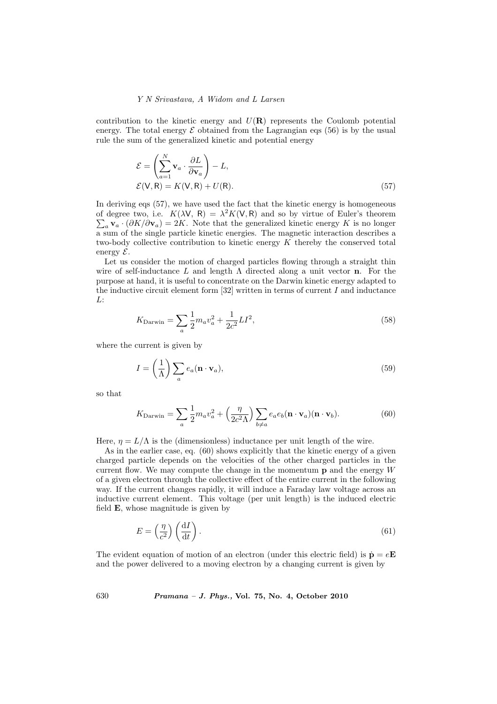contribution to the kinetic energy and  $U(\mathbf{R})$  represents the Coulomb potential energy. The total energy  $\mathcal E$  obtained from the Lagrangian eqs (56) is by the usual rule the sum of the generalized kinetic and potential energy

$$
\mathcal{E} = \left(\sum_{a=1}^{N} \mathbf{v}_a \cdot \frac{\partial L}{\partial \mathbf{v}_a}\right) - L,
$$
  

$$
\mathcal{E}(\mathsf{V}, \mathsf{R}) = K(\mathsf{V}, \mathsf{R}) + U(\mathsf{R}).
$$
 (57)

In deriving eqs (57), we have used the fact that the kinetic energy is homogeneous of degree two, i.e.  $K(\lambda V, R) = \lambda^2 K(V, R)$  and so by virtue of Euler's theorem  $\sum_{a} \mathbf{v}_{a} \cdot (\partial K / \partial \mathbf{v}_{a}) = 2K$ . Note that the generalized kinetic energy K is no longer a sum of the single particle kinetic energies. The magnetic interaction describes a two-body collective contribution to kinetic energy  $K$  thereby the conserved total energy  $\mathcal{E}.$ 

Let us consider the motion of charged particles flowing through a straight thin wire of self-inductance L and length  $\Lambda$  directed along a unit vector **n**. For the purpose at hand, it is useful to concentrate on the Darwin kinetic energy adapted to the inductive circuit element form  $[32]$  written in terms of current I and inductance  $L^{\cdot}$ 

$$
K_{\text{Darwin}} = \sum_{a} \frac{1}{2} m_a v_a^2 + \frac{1}{2c^2} L I^2,\tag{58}
$$

where the current is given by

$$
I = \left(\frac{1}{\Lambda}\right) \sum_{a} e_a (\mathbf{n} \cdot \mathbf{v}_a),\tag{59}
$$

so that

$$
K_{\text{Darwin}} = \sum_{a} \frac{1}{2} m_a v_a^2 + \left(\frac{\eta}{2c^2 \Lambda}\right) \sum_{b \neq a} e_a e_b (\mathbf{n} \cdot \mathbf{v}_a) (\mathbf{n} \cdot \mathbf{v}_b).
$$
 (60)

Here,  $\eta = L/\Lambda$  is the (dimensionless) inductance per unit length of the wire.

As in the earlier case, eq. (60) shows explicitly that the kinetic energy of a given charged particle depends on the velocities of the other charged particles in the current flow. We may compute the change in the momentum  $\bf{p}$  and the energy  $W$ of a given electron through the collective effect of the entire current in the following way. If the current changes rapidly, it will induce a Faraday law voltage across an inductive current element. This voltage (per unit length) is the induced electric field E, whose magnitude is given by

$$
E = \left(\frac{\eta}{c^2}\right) \left(\frac{\mathrm{d}I}{\mathrm{d}t}\right). \tag{61}
$$

The evident equation of motion of an electron (under this electric field) is  $\dot{\mathbf{p}} = e\mathbf{E}$ and the power delivered to a moving electron by a changing current is given by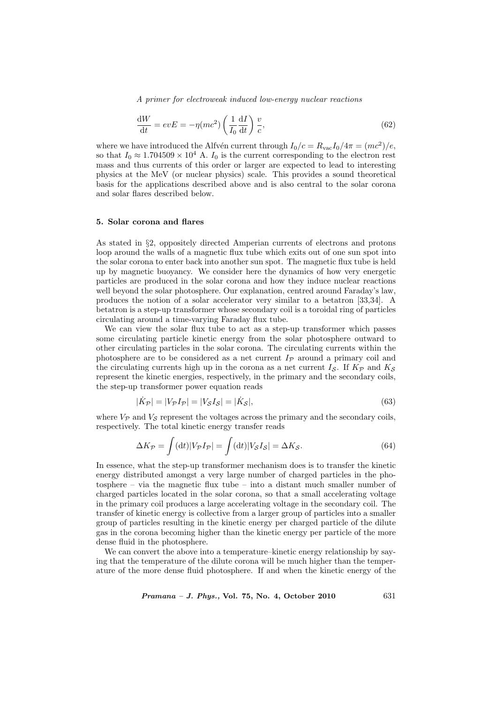$$
\frac{\mathrm{d}W}{\mathrm{d}t} = evE = -\eta(mc^2) \left(\frac{1}{I_0}\frac{\mathrm{d}I}{\mathrm{d}t}\right) \frac{v}{c},\tag{62}
$$

where we have introduced the Alfvén current through  $I_0/c = R_{\text{vac}} I_0/4\pi = (mc^2)/e$ , so that  $I_0 \approx 1.704509 \times 10^4$  A.  $I_0$  is the current corresponding to the electron rest mass and thus currents of this order or larger are expected to lead to interesting physics at the MeV (or nuclear physics) scale. This provides a sound theoretical basis for the applications described above and is also central to the solar corona and solar flares described below.

#### 5. Solar corona and flares

As stated in §2, oppositely directed Amperian currents of electrons and protons loop around the walls of a magnetic flux tube which exits out of one sun spot into the solar corona to enter back into another sun spot. The magnetic flux tube is held up by magnetic buoyancy. We consider here the dynamics of how very energetic particles are produced in the solar corona and how they induce nuclear reactions well beyond the solar photosphere. Our explanation, centred around Faraday's law, produces the notion of a solar accelerator very similar to a betatron [33,34]. A betatron is a step-up transformer whose secondary coil is a toroidal ring of particles circulating around a time-varying Faraday flux tube.

We can view the solar flux tube to act as a step-up transformer which passes some circulating particle kinetic energy from the solar photosphere outward to other circulating particles in the solar corona. The circulating currents within the photosphere are to be considered as a net current  $I_{\mathcal{P}}$  around a primary coil and the circulating currents high up in the corona as a net current  $I_{\mathcal{S}}$ . If  $K_{\mathcal{P}}$  and  $K_{\mathcal{S}}$ represent the kinetic energies, respectively, in the primary and the secondary coils, the step-up transformer power equation reads

$$
|\dot{K}_{\mathcal{P}}| = |V_{\mathcal{P}}I_{\mathcal{P}}| = |V_{\mathcal{S}}I_{\mathcal{S}}| = |\dot{K}_{\mathcal{S}}|,\tag{63}
$$

where  $V_P$  and  $V_S$  represent the voltages across the primary and the secondary coils, respectively. The total kinetic energy transfer reads

$$
\Delta K_{\mathcal{P}} = \int (\mathrm{d}t)|V_{\mathcal{P}}I_{\mathcal{P}}| = \int (\mathrm{d}t)|V_{\mathcal{S}}I_{\mathcal{S}}| = \Delta K_{\mathcal{S}}.\tag{64}
$$

In essence, what the step-up transformer mechanism does is to transfer the kinetic energy distributed amongst a very large number of charged particles in the photosphere – via the magnetic flux tube – into a distant much smaller number of charged particles located in the solar corona, so that a small accelerating voltage in the primary coil produces a large accelerating voltage in the secondary coil. The transfer of kinetic energy is collective from a larger group of particles into a smaller group of particles resulting in the kinetic energy per charged particle of the dilute gas in the corona becoming higher than the kinetic energy per particle of the more dense fluid in the photosphere.

We can convert the above into a temperature–kinetic energy relationship by saying that the temperature of the dilute corona will be much higher than the temperature of the more dense fluid photosphere. If and when the kinetic energy of the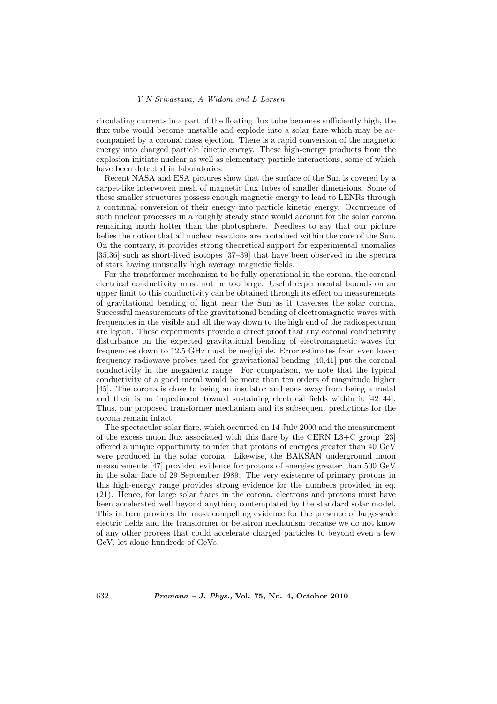circulating currents in a part of the floating flux tube becomes sufficiently high, the flux tube would become unstable and explode into a solar flare which may be accompanied by a coronal mass ejection. There is a rapid conversion of the magnetic energy into charged particle kinetic energy. These high-energy products from the explosion initiate nuclear as well as elementary particle interactions, some of which have been detected in laboratories.

Recent NASA and ESA pictures show that the surface of the Sun is covered by a carpet-like interwoven mesh of magnetic flux tubes of smaller dimensions. Some of these smaller structures possess enough magnetic energy to lead to LENRs through a continual conversion of their energy into particle kinetic energy. Occurrence of such nuclear processes in a roughly steady state would account for the solar corona remaining much hotter than the photosphere. Needless to say that our picture belies the notion that all nuclear reactions are contained within the core of the Sun. On the contrary, it provides strong theoretical support for experimental anomalies [35,36] such as short-lived isotopes [37–39] that have been observed in the spectra of stars having unusually high average magnetic fields.

For the transformer mechanism to be fully operational in the corona, the coronal electrical conductivity must not be too large. Useful experimental bounds on an upper limit to this conductivity can be obtained through its effect on measurements of gravitational bending of light near the Sun as it traverses the solar corona. Successful measurements of the gravitational bending of electromagnetic waves with frequencies in the visible and all the way down to the high end of the radiospectrum are legion. These experiments provide a direct proof that any coronal conductivity disturbance on the expected gravitational bending of electromagnetic waves for frequencies down to 12.5 GHz must be negligible. Error estimates from even lower frequency radiowave probes used for gravitational bending [40,41] put the coronal conductivity in the megahertz range. For comparison, we note that the typical conductivity of a good metal would be more than ten orders of magnitude higher [45]. The corona is close to being an insulator and eons away from being a metal and their is no impediment toward sustaining electrical fields within it [42–44]. Thus, our proposed transformer mechanism and its subsequent predictions for the corona remain intact.

The spectacular solar flare, which occurred on 14 July 2000 and the measurement of the excess muon flux associated with this flare by the CERN L3+C group [23] offered a unique opportunity to infer that protons of energies greater than 40 GeV were produced in the solar corona. Likewise, the BAKSAN underground muon measurements [47] provided evidence for protons of energies greater than 500 GeV in the solar flare of 29 September 1989. The very existence of primary protons in this high-energy range provides strong evidence for the numbers provided in eq. (21). Hence, for large solar flares in the corona, electrons and protons must have been accelerated well beyond anything contemplated by the standard solar model. This in turn provides the most compelling evidence for the presence of large-scale electric fields and the transformer or betatron mechanism because we do not know of any other process that could accelerate charged particles to beyond even a few GeV, let alone hundreds of GeVs.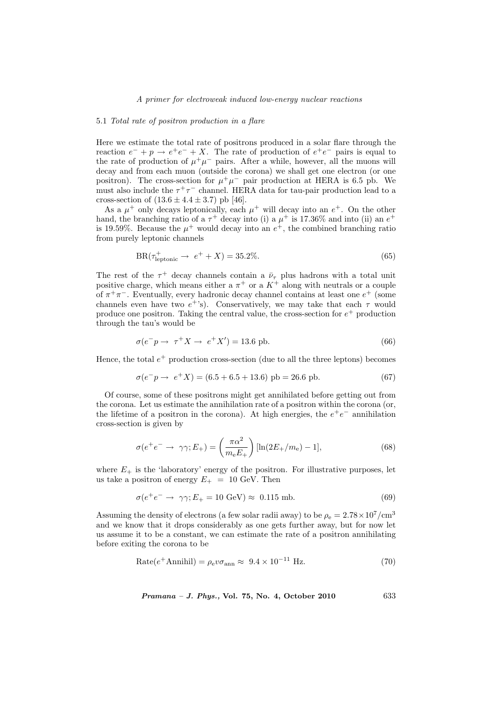#### 5.1 Total rate of positron production in a flare

Here we estimate the total rate of positrons produced in a solar flare through the reaction  $e^- + p \rightarrow e^+e^- + X$ . The rate of production of  $e^+e^-$  pairs is equal to the rate of production of  $\mu^+\mu^-$  pairs. After a while, however, all the muons will decay and from each muon (outside the corona) we shall get one electron (or one positron). The cross-section for  $\mu^+\mu^-$  pair production at HERA is 6.5 pb. We must also include the  $\tau^+\tau^-$  channel. HERA data for tau-pair production lead to a cross-section of  $(13.6 \pm 4.4 \pm 3.7)$  pb [46].

As a  $\mu^+$  only decays leptonically, each  $\mu^+$  will decay into an  $e^+$ . On the other hand, the branching ratio of a  $\tau^+$  decay into (i) a  $\mu^+$  is 17.36% and into (ii) an  $e^+$ is 19.59%. Because the  $\mu^+$  would decay into an  $e^+$ , the combined branching ratio from purely leptonic channels

$$
BR(\tau_{\text{leptonic}}^+ \to e^+ + X) = 35.2\%.\tag{65}
$$

The rest of the  $\tau^+$  decay channels contain a  $\bar{\nu}_{\tau}$  plus hadrons with a total unit positive charge, which means either a  $\pi^+$  or a  $K^+$  along with neutrals or a couple of  $\pi^+\pi^-$ . Eventually, every hadronic decay channel contains at least one  $e^+$  (some channels even have two  $e^{+}$ 's). Conservatively, we may take that each  $\tau$  would produce one positron. Taking the central value, the cross-section for  $e^+$  production through the tau's would be

$$
\sigma(e^-p \to \tau^+X \to e^+X') = 13.6 \text{ pb.}
$$
\n
$$
(66)
$$

Hence, the total  $e^+$  production cross-section (due to all the three leptons) becomes

$$
\sigma(e^-p \to e^+X) = (6.5 + 6.5 + 13.6) \text{ pb} = 26.6 \text{ pb.}
$$
 (67)

Of course, some of these positrons might get annihilated before getting out from the corona. Let us estimate the annihilation rate of a positron within the corona (or, the lifetime of a positron in the corona). At high energies, the  $e^+e^-$  annihilation cross-section is given by

$$
\sigma(e^+e^- \to \gamma\gamma; E_+) = \left(\frac{\pi\alpha^2}{m_e E_+}\right) [\ln(2E_+/m_e) - 1],\tag{68}
$$

where  $E_{+}$  is the 'laboratory' energy of the positron. For illustrative purposes, let us take a positron of energy  $E_{+}$  = 10 GeV. Then

$$
\sigma(e^+e^- \to \gamma\gamma; E_+ = 10 \text{ GeV}) \approx 0.115 \text{ mb.}
$$
 (69)

Assuming the density of electrons (a few solar radii away) to be  $\rho_e = 2.78 \times 10^7/\text{cm}^3$ and we know that it drops considerably as one gets further away, but for now let us assume it to be a constant, we can estimate the rate of a positron annihilating before exiting the corona to be

$$
Rate(e^{+} \text{Annihil}) = \rho_e v \sigma_{\text{ann}} \approx 9.4 \times 10^{-11} \text{ Hz.}
$$
\n(70)

Pramana – J. Phys., Vol. 75, No. 4, October 2010 633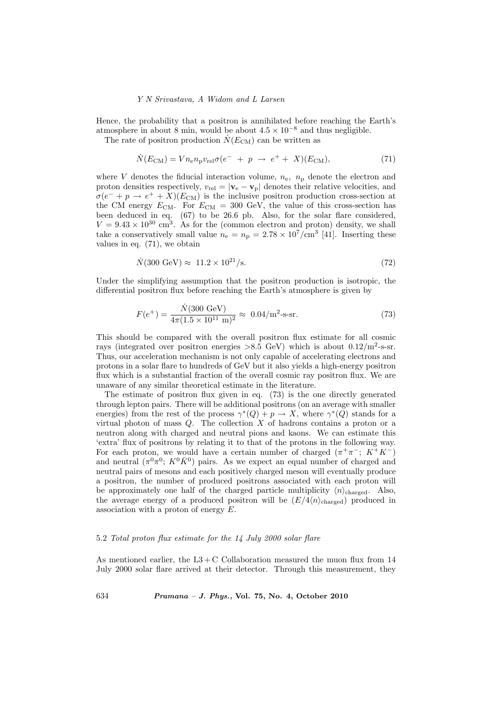Hence, the probability that a positron is annihilated before reaching the Earth's atmosphere in about 8 min, would be about  $4.5 \times 10^{-8}$  and thus negligible.

The rate of positron production  $N(E_{\text{CM}})$  can be written as

$$
\dot{N}(E_{\rm CM}) = V n_{\rm e} n_{\rm p} v_{\rm rel} \sigma (e^- + p \rightarrow e^+ + X)(E_{\rm CM}),\tag{71}
$$

where V denotes the fiducial interaction volume,  $n_e$ ,  $n_p$  denote the electron and proton densities respectively,  $v_{rel} = |\mathbf{v}_e - \mathbf{v}_p|$  denotes their relative velocities, and  $\sigma(e^{-} + p \rightarrow e^{+} + X)(E_{\text{CM}})$  is the inclusive positron production cross-section at the CM energy  $E_{\text{CM}}$ . For  $E_{\text{CM}} = 300 \text{ GeV}$ , the value of this cross-section has been deduced in eq. (67) to be 26.6 pb. Also, for the solar flare considered,  $V = 9.43 \times 10^{30}$  cm<sup>3</sup>. As for the (common electron and proton) density, we shall take a conservatively small value  $n_e = n_p = 2.78 \times 10^7/\text{cm}^3$  [41]. Inserting these values in eq. (71), we obtain

$$
\dot{N}(300 \text{ GeV}) \approx 11.2 \times 10^{21} / \text{s.}
$$
\n(72)

Under the simplifying assumption that the positron production is isotropic, the differential positron flux before reaching the Earth's atmosphere is given by

$$
F(e^{+}) = \frac{\dot{N}(300 \text{ GeV})}{4\pi (1.5 \times 10^{11} \text{ m})^2} \approx 0.04/\text{m}^2\text{-s-sr}.
$$
 (73)

This should be compared with the overall positron flux estimate for all cosmic rays (integrated over positron energies  $>8.5$  GeV) which is about  $0.12/m^2$ -s-sr. Thus, our acceleration mechanism is not only capable of accelerating electrons and protons in a solar flare to hundreds of GeV but it also yields a high-energy positron flux which is a substantial fraction of the overall cosmic ray positron flux. We are unaware of any similar theoretical estimate in the literature.

The estimate of positron flux given in eq. (73) is the one directly generated through lepton pairs. There will be additional positrons (on an average with smaller energies) from the rest of the process  $\gamma^*(Q) + p \to X$ , where  $\gamma^*(Q)$  stands for a virtual photon of mass  $Q$ . The collection  $X$  of hadrons contains a proton or a neutron along with charged and neutral pions and kaons. We can estimate this 'extra' flux of positrons by relating it to that of the protons in the following way. For each proton, we would have a certain number of charged  $(\pi^+\pi^-; K^+K^-)$ and neutral  $(\pi^{0}\pi^{0}; K^{0}\bar{K}^{0})$  pairs. As we expect an equal number of charged and neutral pairs of mesons and each positively charged meson will eventually produce a positron, the number of produced positrons associated with each proton will be approximately one half of the charged particle multiplicity  $\langle n \rangle$ <sub>charged</sub>. Also, the average energy of a produced positron will be  $(E/4\langle n \rangle_{\text{charged}})$  produced in association with a proton of energy E.

#### 5.2 Total proton flux estimate for the 14 July 2000 solar flare

As mentioned earlier, the  $L3 + C$  Collaboration measured the muon flux from 14 July 2000 solar flare arrived at their detector. Through this measurement, they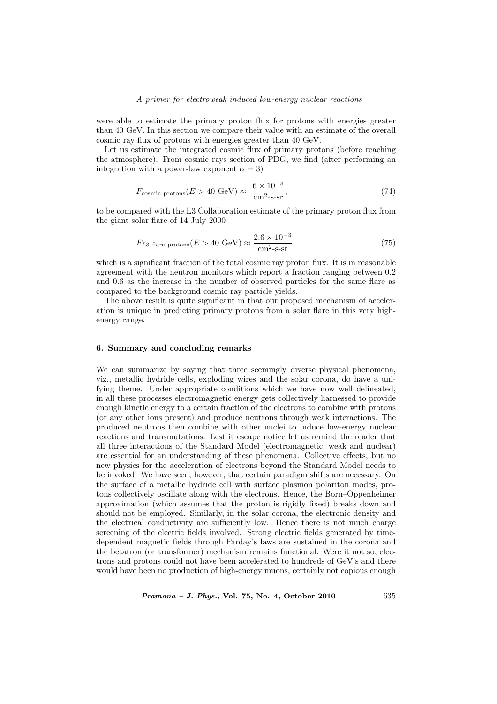were able to estimate the primary proton flux for protons with energies greater than 40 GeV. In this section we compare their value with an estimate of the overall cosmic ray flux of protons with energies greater than 40 GeV.

Let us estimate the integrated cosmic flux of primary protons (before reaching the atmosphere). From cosmic rays section of PDG, we find (after performing an integration with a power-law exponent  $\alpha = 3$ )

$$
F_{\text{cosmic protons}}(E > 40 \text{ GeV}) \approx \frac{6 \times 10^{-3}}{\text{cm}^2\text{-s-sr}},\tag{74}
$$

to be compared with the L3 Collaboration estimate of the primary proton flux from the giant solar flare of 14 July 2000

$$
F_{L3 \text{ flare protons}}(E > 40 \text{ GeV}) \approx \frac{2.6 \times 10^{-3}}{\text{cm}^2 \text{-s-sr}},\tag{75}
$$

which is a significant fraction of the total cosmic ray proton flux. It is in reasonable agreement with the neutron monitors which report a fraction ranging between 0.2 and 0.6 as the increase in the number of observed particles for the same flare as compared to the background cosmic ray particle yields.

The above result is quite significant in that our proposed mechanism of acceleration is unique in predicting primary protons from a solar flare in this very highenergy range.

### 6. Summary and concluding remarks

We can summarize by saying that three seemingly diverse physical phenomena, viz., metallic hydride cells, exploding wires and the solar corona, do have a unifying theme. Under appropriate conditions which we have now well delineated, in all these processes electromagnetic energy gets collectively harnessed to provide enough kinetic energy to a certain fraction of the electrons to combine with protons (or any other ions present) and produce neutrons through weak interactions. The produced neutrons then combine with other nuclei to induce low-energy nuclear reactions and transmutations. Lest it escape notice let us remind the reader that all three interactions of the Standard Model (electromagnetic, weak and nuclear) are essential for an understanding of these phenomena. Collective effects, but no new physics for the acceleration of electrons beyond the Standard Model needs to be invoked. We have seen, however, that certain paradigm shifts are necessary. On the surface of a metallic hydride cell with surface plasmon polariton modes, protons collectively oscillate along with the electrons. Hence, the Born–Oppenheimer approximation (which assumes that the proton is rigidly fixed) breaks down and should not be employed. Similarly, in the solar corona, the electronic density and the electrical conductivity are sufficiently low. Hence there is not much charge screening of the electric fields involved. Strong electric fields generated by timedependent magnetic fields through Farday's laws are sustained in the corona and the betatron (or transformer) mechanism remains functional. Were it not so, electrons and protons could not have been accelerated to hundreds of GeV's and there would have been no production of high-energy muons, certainly not copious enough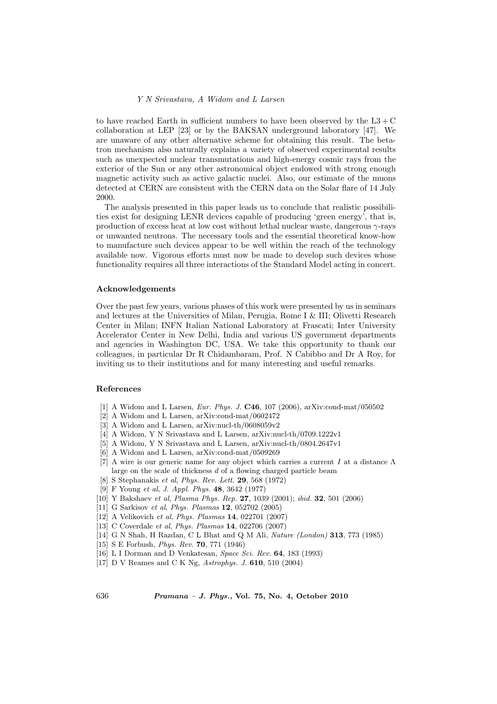to have reached Earth in sufficient numbers to have been observed by the  $L3 + C$ collaboration at LEP [23] or by the BAKSAN underground laboratory [47]. We are unaware of any other alternative scheme for obtaining this result. The betatron mechanism also naturally explains a variety of observed experimental results such as unexpected nuclear transmutations and high-energy cosmic rays from the exterior of the Sun or any other astronomical object endowed with strong enough magnetic activity such as active galactic nuclei. Also, our estimate of the muons detected at CERN are consistent with the CERN data on the Solar flare of 14 July 2000.

The analysis presented in this paper leads us to conclude that realistic possibilities exist for designing LENR devices capable of producing 'green energy', that is, production of excess heat at low cost without lethal nuclear waste, dangerous γ-rays or unwanted neutrons. The necessary tools and the essential theoretical know-how to manufacture such devices appear to be well within the reach of the technology available now. Vigorous efforts must now be made to develop such devices whose functionality requires all three interactions of the Standard Model acting in concert.

#### Acknowledgements

Over the past few years, various phases of this work were presented by us in seminars and lectures at the Universities of Milan, Perugia, Rome I & III; Olivetti Research Center in Milan; INFN Italian National Laboratory at Frascati; Inter University Accelerator Center in New Delhi, India and various US government departments and agencies in Washington DC, USA. We take this opportunity to thank our colleagues, in particular Dr R Chidambaram, Prof. N Cabibbo and Dr A Roy, for inviting us to their institutions and for many interesting and useful remarks.

#### References

- [1] A Widom and L Larsen, Eur. Phys. J. C46, 107 (2006), arXiv:cond-mat/050502
- [2] A Widom and L Larsen, arXiv:cond-mat/0602472
- [3] A Widom and L Larsen, arXiv:nucl-th/0608059v2
- [4] A Widom, Y N Srivastava and L Larsen, arXiv:nucl-th/0709.1222v1
- [5] A Widom, Y N Srivastava and L Larsen, arXiv:nucl-th/0804.2647v1
- [6] A Widom and L Larsen, arXiv:cond-mat/0509269
- [7] A wire is our generic name for any object which carries a current I at a distance  $\Lambda$ large on the scale of thickness d of a flowing charged particle beam
- [8] S Stephanakis et al, Phys. Rev. Lett. 29, 568 (1972)
- [9] F Young et al, J. Appl. Phys. 48, 3642 (1977)
- [10] Y Bakshaev et al, Plasma Phys. Rep. 27, 1039 (2001); ibid. 32, 501 (2006)
- [11] G Sarkisov et al, *Phys. Plasmas* **12**, 052702 (2005)
- [12] A Velikovich et al, Phys. Plasmas 14, 022701 (2007)
- [13] C Coverdale *et al, Phys. Plasmas* **14**, 022706 (2007)
- [14] G N Shah, H Razdan, C L Bhat and Q M Ali, Nature (London) 313, 773 (1985)
- [15] S E Forbush, *Phys. Rev.* **70**, 771 (1946)
- [16] L I Dorman and D Venkatesan, Space Sci. Rev. 64, 183 (1993)
- [17] D V Reames and C K Ng, Astrophys. J. 610, 510 (2004)